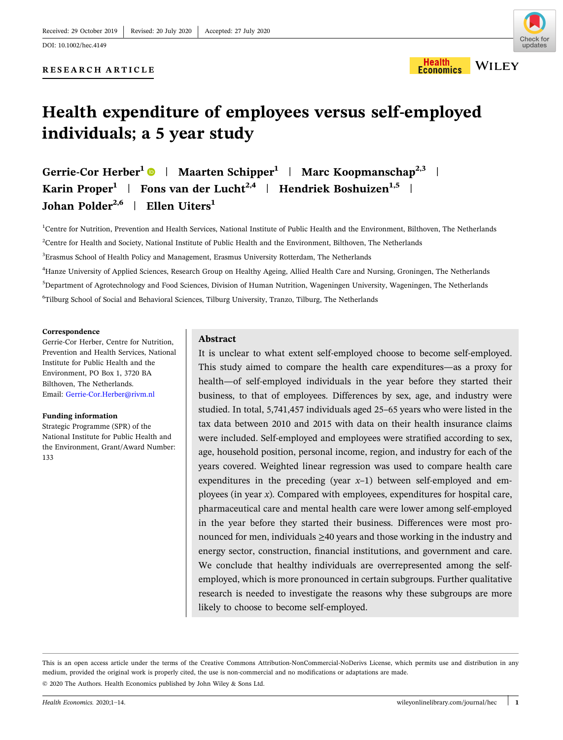Health

**Economics** 

# **RESEARCH ARTICLE**



**Gerrie‐Cor Herber<sup>1</sup>** | **Maarten Schipper<sup>1</sup>** | **Marc Koopmanschap2,3** | **Karin Proper<sup>1</sup>** | **Fons van der Lucht**<sup>2,4</sup> | **Hendriek Boshuizen**<sup>1,5</sup> | **Johan Polder2,6** | **Ellen Uiters<sup>1</sup>**

<sup>1</sup>Centre for Nutrition, Prevention and Health Services, National Institute of Public Health and the Environment, Bilthoven, The Netherlands 2 Centre for Health and Society, National Institute of Public Health and the Environment, Bilthoven, The Netherlands

<sup>3</sup> Erasmus School of Health Policy and Management, Erasmus University Rotterdam, The Netherlands

4 Hanze University of Applied Sciences, Research Group on Healthy Ageing, Allied Health Care and Nursing, Groningen, The Netherlands 5 Department of Agrotechnology and Food Sciences, Division of Human Nutrition, Wageningen University, Wageningen, The Netherlands 6 Tilburg School of Social and Behavioral Sciences, Tilburg University, Tranzo, Tilburg, The Netherlands

#### **Correspondence**

Gerrie‐Cor Herber, Centre for Nutrition, Prevention and Health Services, National Institute for Public Health and the Environment, PO Box 1, 3720 BA Bilthoven, The Netherlands. Email: [Gerrie-Cor.Herber@rivm.nl](mailto:Gerrie-Cor.Herber@rivm.nl)

#### **Funding information**

Strategic Programme (SPR) of the National Institute for Public Health and the Environment, Grant/Award Number: 133

#### **Abstract**

It is unclear to what extent self‐employed choose to become self‐employed. This study aimed to compare the health care expenditures—as a proxy for health—of self-employed individuals in the year before they started their business, to that of employees. Differences by sex, age, and industry were studied. In total, 5,741,457 individuals aged 25–65 years who were listed in the tax data between 2010 and 2015 with data on their health insurance claims were included. Self-employed and employees were stratified according to sex, age, household position, personal income, region, and industry for each of the years covered. Weighted linear regression was used to compare health care expenditures in the preceding (year  $x-1$ ) between self-employed and employees (in year *x*). Compared with employees, expenditures for hospital care, pharmaceutical care and mental health care were lower among self‐employed in the year before they started their business. Differences were most pronounced for men, individuals ≥40 years and those working in the industry and energy sector, construction, financial institutions, and government and care. We conclude that healthy individuals are overrepresented among the selfemployed, which is more pronounced in certain subgroups. Further qualitative research is needed to investigate the reasons why these subgroups are more likely to choose to become self‐employed.

This is an open access article under the terms of the Creative Commons Attribution-NonCommercial-NoDerivs License, which permits use and distribution in any medium, provided the original work is properly cited, the use is non‐commercial and no modifications or adaptations are made. © 2020 The Authors. Health Economics published by John Wiley & Sons Ltd.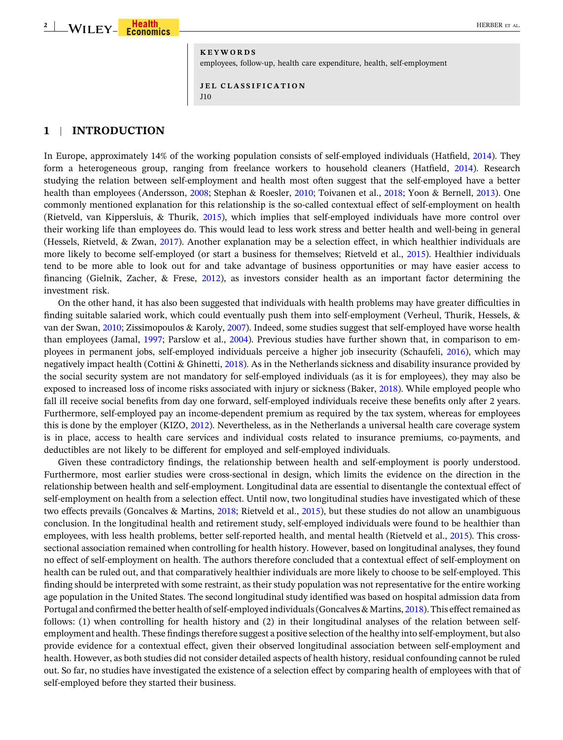$\frac{2}{2}$  - **HERBER ET AL. HERBER ET AL. HERBER ET AL.** 

#### **KEYWORDS**

employees, follow‐up, health care expenditure, health, self‐employment

**JEL CLASSIFICATION** J10

### **1** <sup>|</sup> **INTRODUCTION**

In Europe, approximately 14% of the working population consists of self-employed individuals (Hatfield, [2014](#page-12-0)). They form a heterogeneous group, ranging from freelance workers to household cleaners (Hatfield, [2014\)](#page-12-0). Research studying the relation between self‐employment and health most often suggest that the self‐employed have a better health than employees (Andersson, [2008;](#page-11-0) Stephan & Roesler, [2010](#page-12-0); Toivanen et al., [2018](#page-12-0); Yoon & Bernell, [2013\)](#page-12-0). One commonly mentioned explanation for this relationship is the so-called contextual effect of self-employment on health (Rietveld, van Kippersluis, & Thurik, [2015](#page-12-0)), which implies that self-employed individuals have more control over their working life than employees do. This would lead to less work stress and better health and well‐being in general (Hessels, Rietveld, & Zwan, [2017\)](#page-12-0). Another explanation may be a selection effect, in which healthier individuals are more likely to become self-employed (or start a business for themselves; Rietveld et al., [2015](#page-12-0)). Healthier individuals tend to be more able to look out for and take advantage of business opportunities or may have easier access to financing (Gielnik, Zacher, & Frese, [2012](#page-11-0)), as investors consider health as an important factor determining the investment risk.

On the other hand, it has also been suggested that individuals with health problems may have greater difficulties in finding suitable salaried work, which could eventually push them into self-employment (Verheul, Thurik, Hessels, & van der Swan, [2010](#page-12-0); Zissimopoulos & Karoly, [2007](#page-12-0)). Indeed, some studies suggest that self-employed have worse health than employees (Jamal, [1997;](#page-12-0) Parslow et al., [2004](#page-12-0)). Previous studies have further shown that, in comparison to employees in permanent jobs, self‐employed individuals perceive a higher job insecurity (Schaufeli, [2016](#page-12-0)), which may negatively impact health (Cottini & Ghinetti, [2018](#page-11-0)). As in the Netherlands sickness and disability insurance provided by the social security system are not mandatory for self‐employed individuals (as it is for employees), they may also be exposed to increased loss of income risks associated with injury or sickness (Baker, [2018\)](#page-11-0). While employed people who fall ill receive social benefits from day one forward, self-employed individuals receive these benefits only after 2 years. Furthermore, self-employed pay an income-dependent premium as required by the tax system, whereas for employees this is done by the employer (KIZO, [2012](#page-12-0)). Nevertheless, as in the Netherlands a universal health care coverage system is in place, access to health care services and individual costs related to insurance premiums, co‐payments, and deductibles are not likely to be different for employed and self‐employed individuals.

Given these contradictory findings, the relationship between health and self-employment is poorly understood. Furthermore, most earlier studies were cross-sectional in design, which limits the evidence on the direction in the relationship between health and self‐employment. Longitudinal data are essential to disentangle the contextual effect of self-employment on health from a selection effect. Until now, two longitudinal studies have investigated which of these two effects prevails (Goncalves & Martins, [2018;](#page-11-0) Rietveld et al., [2015\)](#page-12-0), but these studies do not allow an unambiguous conclusion. In the longitudinal health and retirement study, self‐employed individuals were found to be healthier than employees, with less health problems, better self-reported health, and mental health (Rietveld et al., [2015\)](#page-12-0). This crosssectional association remained when controlling for health history. However, based on longitudinal analyses, they found no effect of self-employment on health. The authors therefore concluded that a contextual effect of self-employment on health can be ruled out, and that comparatively healthier individuals are more likely to choose to be self-employed. This finding should be interpreted with some restraint, as their study population was not representative for the entire working age population in the United States. The second longitudinal study identified was based on hospital admission data from Portugal and confirmed the better health of self-employed individuals (Goncalves & Martins, [2018](#page-11-0)). This effect remained as follows: (1) when controlling for health history and  $(2)$  in their longitudinal analyses of the relation between selfemployment and health. These findings therefore suggest a positive selection of the healthy into self-employment, but also provide evidence for a contextual effect, given their observed longitudinal association between self‐employment and health. However, as both studies did not consider detailed aspects of health history, residual confounding cannot be ruled out. So far, no studies have investigated the existence of a selection effect by comparing health of employees with that of self-employed before they started their business.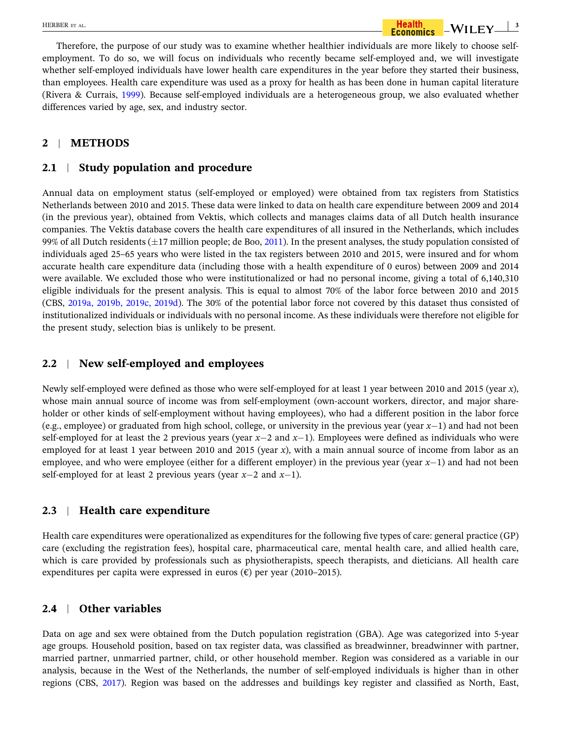Therefore, the purpose of our study was to examine whether healthier individuals are more likely to choose selfemployment. To do so, we will focus on individuals who recently became self-employed and, we will investigate whether self-employed individuals have lower health care expenditures in the year before they started their business, than employees. Health care expenditure was used as a proxy for health as has been done in human capital literature (Rivera & Currais, [1999](#page-12-0)). Because self‐employed individuals are a heterogeneous group, we also evaluated whether differences varied by age, sex, and industry sector.

## **2** <sup>|</sup> **METHODS**

## **2.1** <sup>|</sup> **Study population and procedure**

Annual data on employment status (self‐employed or employed) were obtained from tax registers from Statistics Netherlands between 2010 and 2015. These data were linked to data on health care expenditure between 2009 and 2014 (in the previous year), obtained from Vektis, which collects and manages claims data of all Dutch health insurance companies. The Vektis database covers the health care expenditures of all insured in the Netherlands, which includes 99% of all Dutch residents  $(\pm 17$  million people; de Boo, [2011](#page-11-0)). In the present analyses, the study population consisted of individuals aged 25–65 years who were listed in the tax registers between 2010 and 2015, were insured and for whom accurate health care expenditure data (including those with a health expenditure of 0 euros) between 2009 and 2014 were available. We excluded those who were institutionalized or had no personal income, giving a total of 6,140,310 eligible individuals for the present analysis. This is equal to almost 70% of the labor force between 2010 and 2015 (CBS, 2019a, [2019b,](#page-11-0) 2019c, 2019d). The 30% of the potential labor force not covered by this dataset thus consisted of institutionalized individuals or individuals with no personal income. As these individuals were therefore not eligible for the present study, selection bias is unlikely to be present.

## **2.2** <sup>|</sup> **New self‐employed and employees**

Newly self-employed were defined as those who were self-employed for at least 1 year between 2010 and 2015 (year *x*), whose main annual source of income was from self-employment (own-account workers, director, and major shareholder or other kinds of self-employment without having employees), who had a different position in the labor force (e.g., employee) or graduated from high school, college, or university in the previous year (year  $x-1$ ) and had not been self-employed for at least the 2 previous years (year  $x-2$  and  $x-1$ ). Employees were defined as individuals who were employed for at least 1 year between 2010 and 2015 (year *x*), with a main annual source of income from labor as an employee, and who were employee (either for a different employer) in the previous year (year  $x-1$ ) and had not been self-employed for at least 2 previous years (year  $x-2$  and  $x-1$ ).

## **2.3** <sup>|</sup> **Health care expenditure**

Health care expenditures were operationalized as expenditures for the following five types of care: general practice (GP) care (excluding the registration fees), hospital care, pharmaceutical care, mental health care, and allied health care, which is care provided by professionals such as physiotherapists, speech therapists, and dieticians. All health care expenditures per capita were expressed in euros  $(\epsilon)$  per year (2010–2015).

## **2.4** <sup>|</sup> **Other variables**

Data on age and sex were obtained from the Dutch population registration (GBA). Age was categorized into 5‐year age groups. Household position, based on tax register data, was classified as breadwinner, breadwinner with partner, married partner, unmarried partner, child, or other household member. Region was considered as a variable in our analysis, because in the West of the Netherlands, the number of self‐employed individuals is higher than in other regions (CBS, [2017](#page-11-0)). Region was based on the addresses and buildings key register and classified as North, East,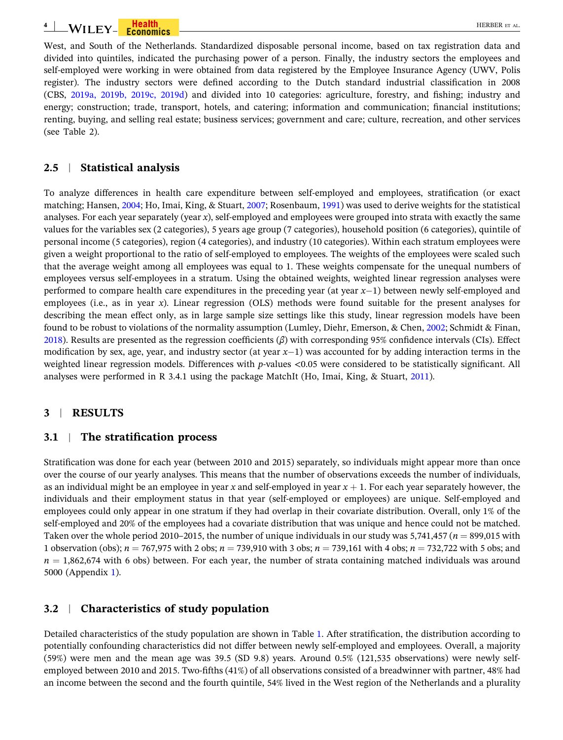West, and South of the Netherlands. Standardized disposable personal income, based on tax registration data and divided into quintiles, indicated the purchasing power of a person. Finally, the industry sectors the employees and self-employed were working in were obtained from data registered by the Employee Insurance Agency (UWV, Polis register). The industry sectors were defined according to the Dutch standard industrial classification in 2008 (CBS, 2019a, [2019b,](#page-11-0) 2019c, 2019d) and divided into 10 categories: agriculture, forestry, and fishing; industry and energy; construction; trade, transport, hotels, and catering; information and communication; financial institutions; renting, buying, and selling real estate; business services; government and care; culture, recreation, and other services (see Table 2).

# **2.5** <sup>|</sup> **Statistical analysis**

To analyze differences in health care expenditure between self‐employed and employees, stratification (or exact matching; Hansen, [2004;](#page-11-0) Ho, Imai, King, & Stuart, [2007;](#page-12-0) Rosenbaum, [1991](#page-12-0)) was used to derive weights for the statistical analyses. For each year separately (year *x*), self-employed and employees were grouped into strata with exactly the same values for the variables sex (2 categories), 5 years age group (7 categories), household position (6 categories), quintile of personal income (5 categories), region (4 categories), and industry (10 categories). Within each stratum employees were given a weight proportional to the ratio of self‐employed to employees. The weights of the employees were scaled such that the average weight among all employees was equal to 1. These weights compensate for the unequal numbers of employees versus self-employees in a stratum. Using the obtained weights, weighted linear regression analyses were performed to compare health care expenditures in the preceding year (at year  $x-1$ ) between newly self-employed and employees (i.e., as in year *x*). Linear regression (OLS) methods were found suitable for the present analyses for describing the mean effect only, as in large sample size settings like this study, linear regression models have been found to be robust to violations of the normality assumption (Lumley, Diehr, Emerson, & Chen, [2002;](#page-12-0) Schmidt & Finan, [2018](#page-12-0)). Results are presented as the regression coefficients (*β*) with corresponding 95% confidence intervals (CIs). Effect modification by sex, age, year, and industry sector (at year  $x-1$ ) was accounted for by adding interaction terms in the weighted linear regression models. Differences with *p*-values <0.05 were considered to be statistically significant. All analyses were performed in R 3.4.1 using the package MatchIt (Ho, Imai, King, & Stuart, [2011](#page-12-0)).

# **3** <sup>|</sup> **RESULTS**

## **3.1** <sup>|</sup> **The stratification process**

Stratification was done for each year (between 2010 and 2015) separately, so individuals might appear more than once over the course of our yearly analyses. This means that the number of observations exceeds the number of individuals, as an individual might be an employee in year *x* and self-employed in year  $x + 1$ . For each year separately however, the individuals and their employment status in that year (self‐employed or employees) are unique. Self‐employed and employees could only appear in one stratum if they had overlap in their covariate distribution. Overall, only 1% of the self-employed and 20% of the employees had a covariate distribution that was unique and hence could not be matched. Taken over the whole period 2010–2015, the number of unique individuals in our study was 5,741,457 ( $n = 899,015$  with 1 observation (obs);  $n = 767,975$  with 2 obs;  $n = 739,910$  with 3 obs;  $n = 739,161$  with 4 obs;  $n = 732,722$  with 5 obs; and  $n = 1,862,674$  with 6 obs) between. For each year, the number of strata containing matched individuals was around 5000 (Appendix 1).

# **3.2** <sup>|</sup> **Characteristics of study population**

Detailed characteristics of the study population are shown in Table [1](#page-4-0). After stratification, the distribution according to potentially confounding characteristics did not differ between newly self-employed and employees. Overall, a majority (59%) were men and the mean age was 39.5 (SD 9.8) years. Around 0.5% (121,535 observations) were newly self‐ employed between 2010 and 2015. Two-fifths (41%) of all observations consisted of a breadwinner with partner, 48% had an income between the second and the fourth quintile, 54% lived in the West region of the Netherlands and a plurality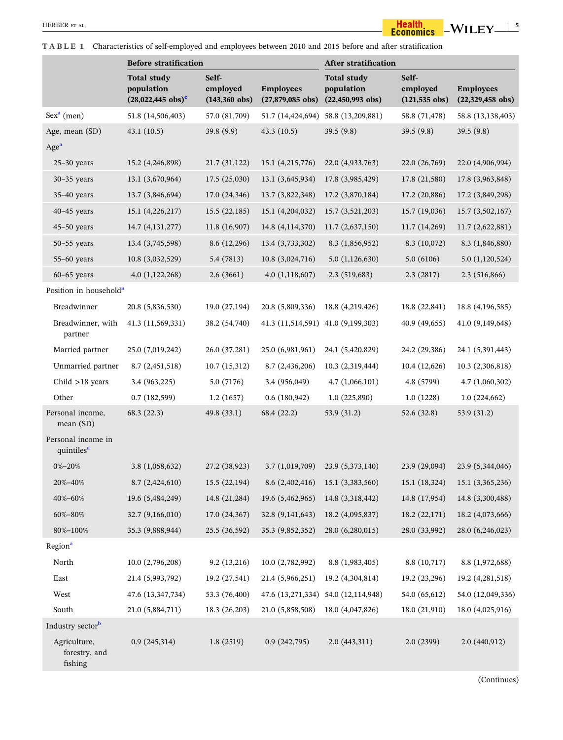<span id="page-4-0"></span>**TABLE 1** Characteristics of self‐employed and employees between 2010 and 2015 before and after stratification

|                                              | <b>Before stratification</b>                                     |                                       |                                        | <b>After stratification</b>                            |                                       |                                          |
|----------------------------------------------|------------------------------------------------------------------|---------------------------------------|----------------------------------------|--------------------------------------------------------|---------------------------------------|------------------------------------------|
|                                              | <b>Total study</b><br>population<br>$(28,022,445 \text{ obs})^c$ | Self-<br>employed<br>$(143, 360$ obs) | <b>Employees</b><br>$(27,879,085$ obs) | <b>Total study</b><br>population<br>$(22,450,993$ obs) | Self-<br>employed<br>$(121, 535$ obs) | <b>Employees</b><br>$(22, 329, 458$ obs) |
| $Sexa$ (men)                                 | 51.8 (14,506,403)                                                | 57.0 (81,709)                         | 51.7 (14,424,694)                      | 58.8 (13,209,881)                                      | 58.8 (71,478)                         | 58.8 (13,138,403)                        |
| Age, mean (SD)                               | 43.1 (10.5)                                                      | 39.8 (9.9)                            | 43.3(10.5)                             | 39.5 (9.8)                                             | 39.5 $(9.8)$                          | 39.5(9.8)                                |
| Age <sup>a</sup>                             |                                                                  |                                       |                                        |                                                        |                                       |                                          |
| $25-30$ years                                | 15.2 (4,246,898)                                                 | 21.7 (31,122)                         | 15.1 (4,215,776)                       | 22.0 (4,933,763)                                       | 22.0 (26,769)                         | 22.0 (4,906,994)                         |
| $30 - 35$ years                              | 13.1 (3,670,964)                                                 | 17.5 (25,030)                         | 13.1 (3,645,934)                       | 17.8 (3,985,429)                                       | 17.8 (21,580)                         | 17.8 (3,963,848)                         |
| $35-40$ years                                | 13.7 (3,846,694)                                                 | 17.0 (24,346)                         | 13.7 (3,822,348)                       | 17.2 (3,870,184)                                       | 17.2 (20,886)                         | 17.2 (3,849,298)                         |
| $40-45$ years                                | 15.1 (4,226,217)                                                 | 15.5(22,185)                          | 15.1 (4,204,032)                       | 15.7 (3,521,203)                                       | 15.7 (19,036)                         | 15.7 (3,502,167)                         |
| $45-50$ years                                | 14.7 (4,131,277)                                                 | 11.8 (16,907)                         | 14.8 (4,114,370)                       | 11.7 (2,637,150)                                       | 11.7 (14,269)                         | 11.7 (2,622,881)                         |
| $50 - 55$ years                              | 13.4 (3,745,598)                                                 | 8.6 (12,296)                          | 13.4 (3,733,302)                       | 8.3 (1,856,952)                                        | 8.3 (10,072)                          | 8.3 (1,846,880)                          |
| 55-60 years                                  | 10.8 (3,032,529)                                                 | 5.4 (7813)                            | 10.8 (3,024,716)                       | 5.0(1,126,630)                                         | 5.0(6106)                             | 5.0 (1,120,524)                          |
| $60-65$ years                                | 4.0(1,122,268)                                                   | 2.6(3661)                             | 4.0(1,118,607)                         | 2.3(519,683)                                           | 2.3(2817)                             | 2.3(516,866)                             |
| Position in household <sup>a</sup>           |                                                                  |                                       |                                        |                                                        |                                       |                                          |
| Breadwinner                                  | 20.8 (5,836,530)                                                 | 19.0 (27,194)                         | 20.8 (5,809,336)                       | 18.8 (4,219,426)                                       | 18.8 (22,841)                         | 18.8 (4,196,585)                         |
| Breadwinner, with<br>partner                 | 41.3 (11,569,331)                                                | 38.2 (54,740)                         | 41.3 (11,514,591) 41.0 (9,199,303)     |                                                        | 40.9 (49,655)                         | 41.0 (9,149,648)                         |
| Married partner                              | 25.0 (7,019,242)                                                 | 26.0 (37,281)                         | 25.0 (6,981,961)                       | 24.1 (5,420,829)                                       | 24.2 (29,386)                         | 24.1 (5,391,443)                         |
| Unmarried partner                            | 8.7 (2,451,518)                                                  | 10.7(15,312)                          | 8.7 (2,436,206)                        | 10.3 (2,319,444)                                       | 10.4 (12,626)                         | 10.3(2,306,818)                          |
| Child $>18$ years                            | 3.4 (963,225)                                                    | 5.0(7176)                             | 3.4 (956,049)                          | 4.7(1,066,101)                                         | 4.8 (5799)                            | 4.7(1,060,302)                           |
| Other                                        | 0.7(182,599)                                                     | 1.2(1657)                             | 0.6(180,942)                           | 1.0(225,890)                                           | 1.0(1228)                             | 1.0(224,662)                             |
| Personal income,<br>mean (SD)                | 68.3 (22.3)                                                      | 49.8 (33.1)                           | 68.4 (22.2)                            | 53.9 (31.2)                                            | 52.6(32.8)                            | 53.9 (31.2)                              |
| Personal income in<br>quintiles <sup>a</sup> |                                                                  |                                       |                                        |                                                        |                                       |                                          |
| 0%-20%                                       | 3.8 (1,058,632)                                                  | 27.2 (38,923)                         | 3.7(1,019,709)                         | 23.9 (5,373,140)                                       | 23.9 (29,094)                         | 23.9 (5,344,046)                         |
| 20%-40%                                      | 8.7 (2,424,610)                                                  | 15.5 (22,194)                         | 8.6 (2,402,416)                        | 15.1 (3,383,560)                                       | 15.1 (18,324)                         | 15.1 (3,365,236)                         |
| 40%-60%                                      | 19.6 (5,484,249)                                                 | 14.8 (21,284)                         | 19.6 (5,462,965)                       | 14.8 (3,318,442)                                       | 14.8 (17,954)                         | 14.8 (3,300,488)                         |
| $60\% - 80\%$                                | 32.7 (9,166,010)                                                 | 17.0 (24,367)                         | 32.8 (9,141,643)                       | 18.2 (4,095,837)                                       | 18.2 (22,171)                         | 18.2 (4,073,666)                         |
| $80\% \text{--} 100\%$                       | 35.3 (9,888,944)                                                 | 25.5 (36,592)                         | 35.3 (9,852,352)                       | 28.0 (6,280,015)                                       | 28.0 (33,992)                         | 28.0 (6,246,023)                         |
| Region <sup>a</sup>                          |                                                                  |                                       |                                        |                                                        |                                       |                                          |
| North                                        | 10.0 (2,796,208)                                                 | 9.2(13,216)                           | 10.0 (2,782,992)                       | 8.8 (1,983,405)                                        | 8.8 (10,717)                          | 8.8 (1,972,688)                          |
| East                                         | 21.4 (5,993,792)                                                 | 19.2 (27,541)                         | 21.4 (5,966,251)                       | 19.2 (4,304,814)                                       | 19.2 (23,296)                         | 19.2 (4,281,518)                         |
| West                                         | 47.6 (13,347,734)                                                | 53.3 (76,400)                         | 47.6 (13,271,334)                      | 54.0 (12,114,948)                                      | 54.0 (65,612)                         | 54.0 (12,049,336)                        |
| South                                        | 21.0 (5,884,711)                                                 | 18.3 (26,203)                         | 21.0 (5,858,508)                       | 18.0 (4,047,826)                                       | 18.0 (21,910)                         | 18.0 (4,025,916)                         |
| Industry sector <sup>b</sup>                 |                                                                  |                                       |                                        |                                                        |                                       |                                          |
| Agriculture,<br>forestry, and<br>fishing     | 0.9(245,314)                                                     | 1.8(2519)                             | 0.9(242,795)                           | 2.0(443,311)                                           | 2.0(2399)                             | 2.0(440,912)                             |

(Continues)

 $-WILEY \perp$ <sup>5</sup>

Health<br>Economics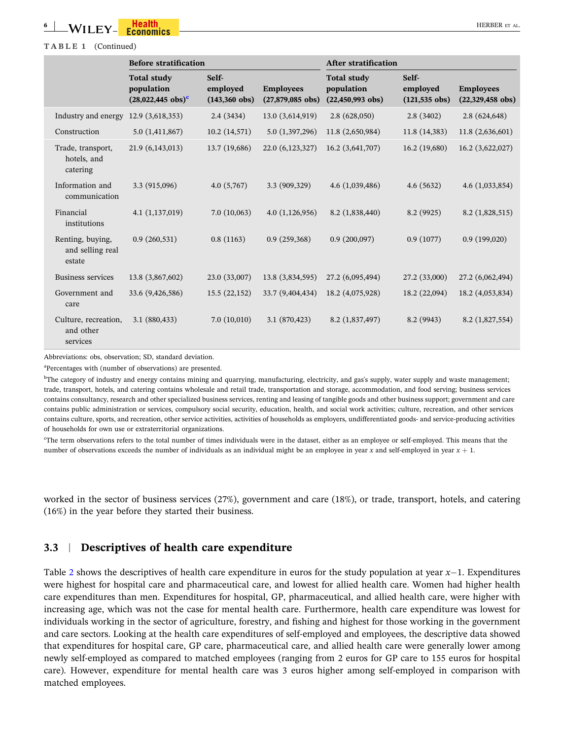#### <span id="page-5-0"></span>**TABLE 1** (Continued)

|                                                | <b>Before stratification</b>                                     |                                       |                                        | <b>After stratification</b>                            |                                       |                                        |
|------------------------------------------------|------------------------------------------------------------------|---------------------------------------|----------------------------------------|--------------------------------------------------------|---------------------------------------|----------------------------------------|
|                                                | <b>Total study</b><br>population<br>$(28,022,445 \text{ obs})^c$ | Self-<br>employed<br>$(143, 360$ obs) | <b>Employees</b><br>$(27,879,085$ obs) | <b>Total study</b><br>population<br>$(22,450,993$ obs) | Self-<br>employed<br>$(121, 535$ obs) | <b>Employees</b><br>$(22,329,458$ obs) |
| Industry and energy                            | 12.9(3,618,353)                                                  | 2.4(3434)                             | 13.0 (3,614,919)                       | 2.8(628,050)                                           | 2.8(3402)                             | 2.8 (624,648)                          |
| Construction                                   | 5.0(1,411,867)                                                   | 10.2(14,571)                          | 5.0 (1,397,296)                        | 11.8 (2,650,984)                                       | 11.8 (14,383)                         | 11.8(2,636,601)                        |
| Trade, transport,<br>hotels, and<br>catering   | 21.9 (6,143,013)                                                 | 13.7 (19,686)                         | 22.0 (6,123,327)                       | 16.2(3,641,707)                                        | 16.2(19,680)                          | 16.2(3,622,027)                        |
| Information and<br>communication               | 3.3 (915,096)                                                    | 4.0(5,767)                            | 3.3 (909,329)                          | 4.6(1,039,486)                                         | 4.6(5632)                             | 4.6(1,033,854)                         |
| Financial<br>institutions                      | 4.1(1,137,019)                                                   | 7.0(10,063)                           | 4.0(1,126,956)                         | 8.2 (1,838,440)                                        | 8.2 (9925)                            | 8.2(1,828,515)                         |
| Renting, buying,<br>and selling real<br>estate | 0.9(260,531)                                                     | 0.8(1163)                             | 0.9(259,368)                           | 0.9(200,097)                                           | 0.9(1077)                             | 0.9(199,020)                           |
| <b>Business services</b>                       | 13.8 (3,867,602)                                                 | 23.0 (33,007)                         | 13.8 (3,834,595)                       | 27.2 (6,095,494)                                       | 27.2 (33,000)                         | 27.2 (6,062,494)                       |
| Government and<br>care                         | 33.6 (9,426,586)                                                 | 15.5(22,152)                          | 33.7 (9,404,434)                       | 18.2 (4,075,928)                                       | 18.2 (22,094)                         | 18.2 (4,053,834)                       |
| Culture, recreation,<br>and other<br>services  | 3.1(880,433)                                                     | 7.0(10,010)                           | 3.1(870,423)                           | 8.2 (1,837,497)                                        | 8.2(9943)                             | 8.2 (1,827,554)                        |

Abbreviations: obs, observation; SD, standard deviation.

a Percentages with (number of observations) are presented.

<sup>b</sup>The category of industry and energy contains mining and quarrying, manufacturing, electricity, and gas's supply, water supply and waste management; trade, transport, hotels, and catering contains wholesale and retail trade, transportation and storage, accommodation, and food serving; business services contains consultancy, research and other specialized business services, renting and leasing of tangible goods and other business support; government and care contains public administration or services, compulsory social security, education, health, and social work activities; culture, recreation, and other services contains culture, sports, and recreation, other service activities, activities of households as employers, undifferentiated goods‐ and service‐producing activities of households for own use or extraterritorial organizations.

<sup>c</sup>The term observations refers to the total number of times individuals were in the dataset, either as an employee or self-employed. This means that the number of observations exceeds the number of individuals as an individual might be an employee in year  $x$  and self-employed in year  $x + 1$ .

worked in the sector of business services (27%), government and care (18%), or trade, transport, hotels, and catering (16%) in the year before they started their business.

# **3.3** <sup>|</sup> **Descriptives of health care expenditure**

Table [2](#page-6-0) shows the descriptives of health care expenditure in euros for the study population at year  $x-1$ . Expenditures were highest for hospital care and pharmaceutical care, and lowest for allied health care. Women had higher health care expenditures than men. Expenditures for hospital, GP, pharmaceutical, and allied health care, were higher with increasing age, which was not the case for mental health care. Furthermore, health care expenditure was lowest for individuals working in the sector of agriculture, forestry, and fishing and highest for those working in the government and care sectors. Looking at the health care expenditures of self‐employed and employees, the descriptive data showed that expenditures for hospital care, GP care, pharmaceutical care, and allied health care were generally lower among newly self‐employed as compared to matched employees (ranging from 2 euros for GP care to 155 euros for hospital care). However, expenditure for mental health care was 3 euros higher among self-employed in comparison with matched employees.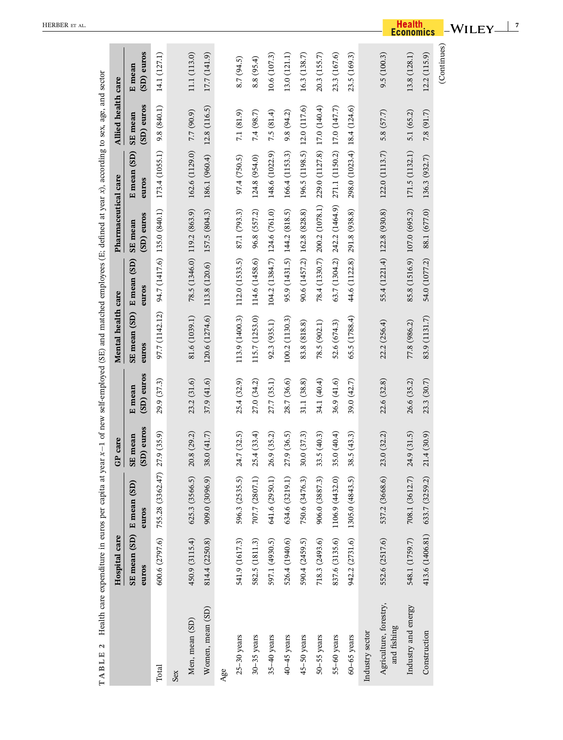<span id="page-6-0"></span>

|                                       | Hospital care                     |                  | GP care               |                      | Mental health care    |                              | Pharmaceutical care          |                             | Allied health care    |                      |
|---------------------------------------|-----------------------------------|------------------|-----------------------|----------------------|-----------------------|------------------------------|------------------------------|-----------------------------|-----------------------|----------------------|
|                                       | SE mean (SD) E mean (SD)<br>euros | euros            | (SD) euros<br>SE mean | (SD) euros<br>E mean | SE mean (SD)<br>euros | E mean (SD)<br>euros         | (SD) euros<br>SE mean        | E mean (SD)<br>euros        | (SD) euros<br>SE mean | (SD) euros<br>E mean |
| Total                                 | 600.6 (2797.6)                    | 755.28 (3362.47) | 27.9 (35.9)           | 29.9 (37.3)          | 97.7 (1142.12)        | 94.7 (1417.6) 135.0 (840.1)  |                              | 173.4 (1055.1)              | 9.8 (840.1)           | 14.1 (127.1)         |
| Sex                                   |                                   |                  |                       |                      |                       |                              |                              |                             |                       |                      |
| Men, mean (SD)                        | 450.9 (3115.4)                    | 625.3 (3566.5)   | 20.8 (29.2)           | 23.2 (31.6)          | 81.6 (1039.1)         | 78.5 (1346.0) 119.2 (863.9)  |                              | 162.6 (1129.0)              | 7.7 (90.9)            | 11.1 (113.0)         |
| Women, mean (SD)                      | 814.4 (2250.8)                    | 909.0 (3096.9)   | 38.0 (41.7)           | 37.9 (41.6)          | 120.6 (1274.6)        | 113.8 (120.6)                | 157.5 (804.3)                | 186.1 (960.4)               | 12.8(116.5)           | 17.7 (141.9)         |
| Age                                   |                                   |                  |                       |                      |                       |                              |                              |                             |                       |                      |
| $25-30$ years                         | 541.9 (1617.3)                    | 596.3 (2535.5)   | 24.7 (32.5)           | 25.4 (32.9)          | 113.9 (1400.3)        | 112.0 (1533.5)               | 87.1 (793.3)                 | 97.4 (750.5)                | 7.1 (81.9)            | 8.7 (94.5)           |
| $30-35$ years                         | 582.5 (1811.3)                    | 707.7 (2807.1)   | 25.4(33.4)            | 27.0 (34.2)          | 115.7 (1253.0)        | 114.6 (1458.6)               | 96.8 (557.2)                 | 124.8 (954.0)               | 7.4(98.7)             | 8.8 (95.4)           |
| 35-40 years                           | 597.1 (4930.5)                    | 641.6 (2950.1)   | 26.9 (35.2)           | 27.7 (35.1)          | 92.3 (935.1)          | 104.2 (1384.7) 124.6 (761.0) |                              | 148.6 (1022.9)              | 7.5(81.4)             | 10.6(107.3)          |
| $40-45$ years                         | 526.4 (1940.6)                    | 634.6 (3219.1)   | 27.9 (36.5)           | 28.7 (36.6)          | 100.2 (1130.3)        | 95.9 (1431.5) 144.2 (818.5)  |                              | 166.4 (1153.3)              | 9.8(94.2)             | 13.0 (121.1)         |
| 45-50 years                           | 590.4 (2459.5)                    | 750.6 (3476.3)   | 30.0 (37.3)           | 31.1 (38.8)          | 83.8 (818.8)          | 90.6 (1457.2) 162.8 (828.8)  |                              | 196.5 (1198.5)              | 12.0 (117.6)          | 16.3(138.7)          |
| 50-55 years                           | 718.3 (2493.6)                    | 906.0 (3887.3)   | 33.5 (40.3)           | 34.1 (40.4)          | 78.5 (902.1)          |                              | 78.4 (1330.7) 200.2 (1078.1) | 229.0 (1127.8) 17.0 (140.4) |                       | 20.3(155.7)          |
| 55-60 years                           | 837.6 (3135.6)                    | 1106.9 (4432.0)  | 35.0(40.4)            | 36.9(41.6)           | 52.6 (674.3)          |                              | 63.7 (1304.2) 242.2 (1464.9) | 271.1 (1150.2) 17.0 (147.7) |                       | 23.3 (167.6)         |
| $60 - 65$ years                       | 942.2 (2731.6)                    | 1305.0 (4843.5)  | 38.5(43.3)            | 39.0 (42.7)          | 65.5 (1788.4)         | 44.6 (1122.8)                | 291.8 (938.8)                | 298.0 (1023.4) 18.4 (124.6) |                       | 23.5 (169.3)         |
| Industry sector                       |                                   |                  |                       |                      |                       |                              |                              |                             |                       |                      |
| Agriculture, forestry,<br>and fishing | 552.6 (2517.6)                    | 537.2 (3668.6)   | 23.0 (32.2)           | 22.6 (32.8)          | 22.2 (256.4)          | 55.4 (1221.4) 122.8 (930.8)  |                              | 122.0 (1113.7)              | 5.8(57.7)             | 9.5(100.3)           |
| Industry and energy                   | 548.1 (1759.7)                    | 708.1 (3612.7)   | 24.9 (31.5)           | 26.6 (35.2)          | 77.8 (986.2)          | 85.8 (1516.9) 107.0 (695.2)  |                              | 171.5 (1132.1)              | 5.1(65.2)             | 13.8 (128.1)         |
| Construction                          | 413.6 (1406.81)                   | 633.7 (3259.2)   | 21.4(30.9)            | 23.3 (30.7)          | 83.9 (1131.7)         | 54.0 (1077.2)                | 88.1 (677.0)                 | 136.3 (932.7)               | 7.8(91.7)             | 12.2 (115.9)         |
|                                       |                                   |                  |                       |                      |                       |                              |                              |                             |                       | (Continues)          |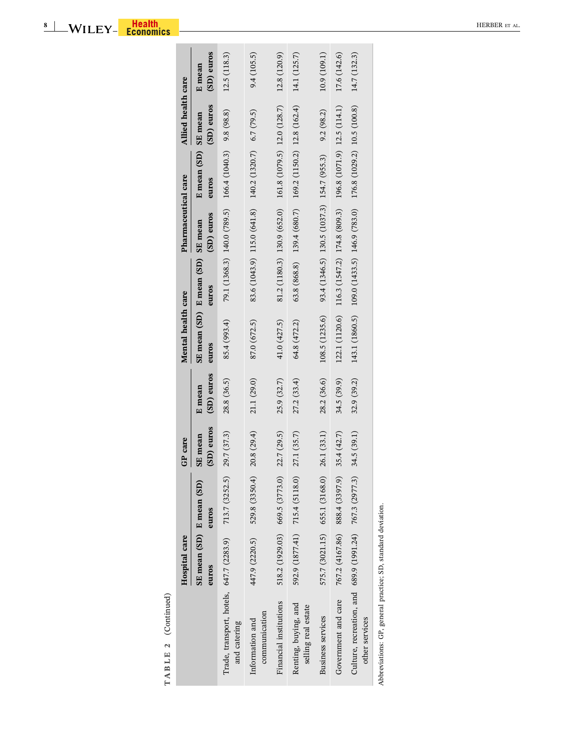|                                                                           | Hospital care                     |                | GP care               |                      | Mental health care                                                      |       | Pharmaceutical care   |                                                         | Allied health care |                      |
|---------------------------------------------------------------------------|-----------------------------------|----------------|-----------------------|----------------------|-------------------------------------------------------------------------|-------|-----------------------|---------------------------------------------------------|--------------------|----------------------|
|                                                                           | SE mean (SD) E mean (SD)<br>euros | euros          | (SD) euros<br>SE mean | (SD) euros<br>E mean | SE mean (SD) E mean (SD)<br>euros                                       | euros | (SD) euros<br>SE mean | E mean (SD) SE mean<br>euros                            | (SD) euros         | (SD) euros<br>E mean |
| Trade, transport, hotels, 647.7 (2283.9)<br>and catering                  |                                   | 713.7 (3252.5) | 29.7 (37.3)           | 28.8 (36.5)          | 85.4 (993.4)                                                            |       |                       | 79.1 (1368.3) 140.0 (789.5) 166.4 (1040.3)              | 9.8 (98.8)         | 12.5 (118.3)         |
| communication<br>Information and                                          | 447.9 (2220.5)                    | 529.8 (3350.4) | 20.8 (29.4)           | 21.1 (29.0)          | 87.0 (672.5)                                                            |       |                       | 83.6 (1043.9) 115.0 (641.8) 140.2 (1320.7) 6.7 (79.5)   |                    | 9.4(105.5)           |
| Financial institutions                                                    | 518.2 (1929.03) 669.5 (3773.0)    |                | 22.7 (29.5)           | 25.9(32.7)           | 41.0 (427.5)                                                            |       |                       | 81.2 (1180.3) 130.9 (652.0) 161.8 (1079.5) 12.0 (128.7) |                    | 12.8 (120.9)         |
| Renting, buying, and<br>selling real estate                               | 592.9 (1877.41) 715.4 (5118.0)    |                | 27.1(35.7)            | 27.2(33.4)           | 64.8 (472.2)                                                            |       |                       | 63.8 (868.8) 139.4 (680.7) 169.2 (1150.2) 12.8 (162.4)  |                    | 14.1 (125.7)         |
| <b>Business services</b>                                                  | 575.7 (3021.15) 655.1 (3168.0)    |                | 26.1(33.1)            | 28.2(36.6)           | 108.5 (1235.6)                                                          |       |                       | 93.4 (1346.5) 130.5 (1037.3) 154.7 (955.3) 9.2 (98.2)   |                    | 10.9(109.1)          |
| Government and care                                                       | 767.2 (4167.86) 888.4 (3397.9)    |                | 35.4(42.7)            | 34.5 (39.9)          | 122.1 (1120.6) 116.3 (1547.2) 174.8 (809.3) 196.8 (1071.9) 12.5 (114.1) |       |                       |                                                         |                    | 17.6 (142.6)         |
| Culture, recreation, and 689.9 (1991.24) 767.3 (2977.3)<br>other services |                                   |                | 34.5(39.1)            | 32.9 (39.2)          | 143.1 (1860.5) 109.0 (1433.5) 146.9 (783.0) 176.8 (1029.2) 10.5 (100.8) |       |                       |                                                         |                    | 14.7 (132.3)         |

Abbreviations: GP, general practice; SD, standard deviation. Abbreviations: GP, general practice; SD, standard deviation.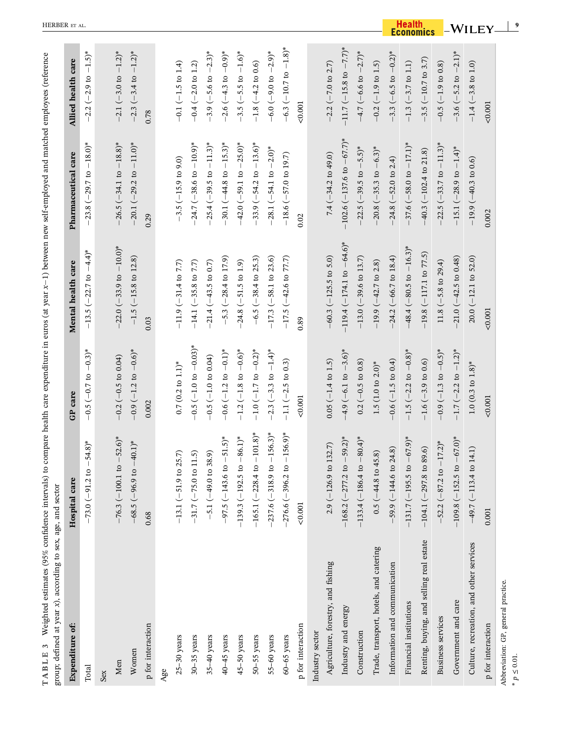| TABLE 3 Weighted estimates (95% confidence intervals) to<br>group; defined at year x), according to sex, age, and sector |                                                 |                                 | compare health care expenditure in euros (at year x-1) between new self-employed and matched employees (reference |                                           |                                   |
|--------------------------------------------------------------------------------------------------------------------------|-------------------------------------------------|---------------------------------|-------------------------------------------------------------------------------------------------------------------|-------------------------------------------|-----------------------------------|
| Expenditure of:                                                                                                          | Hospital care                                   | care<br><b>GP</b>               | Mental health care                                                                                                | Pharmaceutical care                       | Allied health care                |
| Total                                                                                                                    | $54.8)*$<br>$-73.0(-91.2 to$                    | $-0.5$ (-0.7 to $-0.3$ )*       | $-13.5$ ( $-22.7$ to $-4.4$ )*                                                                                    | $-23.8$ ( $-29.7$ to $-18.0$ )*           | $-2.2$ ( $-2.9$ to $-1.5$ )*      |
| Sex                                                                                                                      |                                                 |                                 |                                                                                                                   |                                           |                                   |
| Men                                                                                                                      | $-52.6$ <sup>*</sup><br>$-76.3(-100.1 to$       | $-0.2$ ( $-0.5$ to 0.04)        | $-22.0$ ( $-33.9$ to $-10.0$ <sup>*</sup>                                                                         | $-26.5$ (-34.1 to $-18.8$ )*              | $-2.1$ (-3.0 to $-1.2$ )*         |
| Women                                                                                                                    | $-40.1$ <sup>*</sup><br>$-68.5 (-96.9 to$       | $-0.9(-1.2 \text{ to } -0.6)^*$ | $-1.5$ ( $-15.8$ to 12.8)                                                                                         | $-20.1(-29.2 \text{ to } -11.0)^*$        | $-2.3$ (-3.4 to $-1.2$ )*         |
| p for interaction                                                                                                        | 0.68                                            | 0.002                           | 0.03                                                                                                              | 0.29                                      | 0.78                              |
| Age                                                                                                                      |                                                 |                                 |                                                                                                                   |                                           |                                   |
| $25-30$ years                                                                                                            | $-13.1(-51.9$ to 25.7)                          | $0.7(0.2 \text{ to } 1.1)^*$    | $-11.9(-31.4 to 7.7)$                                                                                             | $-3.5(-15.9 \text{ to } 9.0)$             | $-0.1 (-1.5 \text{ to } 1.4)$     |
| $30 - 35$ years                                                                                                          | 11.5)<br>$-31.7$ ( $-75.0$ to                   | $-0.5$ (-1.0 to $-0.03$ )*      | $-14.1 (-35.8 t 0 7.7)$                                                                                           | $-24.7$ ( $-38.6$ to $-10.9$ )*           | $-0.4$ ( $-2.0$ to 1.2)           |
| 35-40 years                                                                                                              | $-5.1 (-49.0 to 38.9)$                          | $-0.5$ ( $-1.0$ to 0.04)        | $-21.4$ ( $-43.5$ to 0.7)                                                                                         | $-25.4$ (-39.5 to $-11.3$ )*              | $-3.9(-5.6 \text{ to } -2.3)^*$   |
| $40 - 45$ years                                                                                                          | $-51.5$ <sup>*</sup><br>$-97.5(-143.6$ to       | $-0.6$ ( $-1.2$ to $-0.1$ )*    | $-5.3 (-28.4 \text{ to } 17.9)$                                                                                   | $-30.1$ ( $-44.8$ to $-15.3$ <sup>*</sup> | $-2.6$ ( $-4.3$ to $-0.9$ )*      |
| 45-50 years                                                                                                              | $-86.1)$ *<br>$-139.3(-192.5)$                  | $-1.2$ ( $-1.8$ to $-0.6$ )*    | $-24.8(-51.5 \text{ to } 1.9)$                                                                                    | $-42.0$ (-59.1 to $-25.0$ )*              | $-3.5$ ( $-5.5$ to $-1.6$ )*      |
| 50-55 years                                                                                                              | $-101.8$ <sup>*</sup><br>$-165.1 (-228.4 to$    | $-1.0(-1.7 \text{ to } -0.2)^*$ | $-6.5 (-38.4 \text{ to } 25.3)$                                                                                   | $-33.9(-54.2 \text{ to } -13.6)^*$        | $-1.8(-4.2 \text{ to } 0.6)$      |
| 55-60 years                                                                                                              | $-156.3$ <sup>*</sup><br>$-237.6(-318.9$ to     | $-2.3$ (-3.3 to $-1.4$ )*       | $-17.3 (-58.1 to 23.6)$                                                                                           | $-28.1(-54.1 to -2.0)$ *                  | $-6.0 (-9.0 to -2.9)^*$           |
| $60 - 65$ years                                                                                                          | $-156.9$ <sup>*</sup><br>$-276.6$ ( $-396.2$ to | $-1.1$ ( $-2.5$ to 0.3)         | $-17.5$ ( $-42.6$ to $77.7$ )                                                                                     | $-18.6 (-57.0 t0 19.7)$                   | $-6.3 (-10.7 \text{ to } -1.8)^*$ |
| p for interaction                                                                                                        | 0.001                                           | 0.001                           | 0.89                                                                                                              | 0.02                                      | 0.001                             |
| Industry sector                                                                                                          |                                                 |                                 |                                                                                                                   |                                           |                                   |
| Agriculture, forestry, and fishing                                                                                       | 132.7<br>$2.9 (-126.9)$                         | $0.05 (-1.4 to 1.5)$            | $-60.3 (-125.5 \text{ to } 5.0)$                                                                                  | 7.4 $(-34.2$ to 49.0)                     | $-2.2$ ( $-7.0$ to 2.7)           |
| Industry and energy                                                                                                      | $-59.2$ <sup>*</sup><br>$-168.2(-277.2$ to      | $-4.9$ (-6.1 to $-3.6$ )*       | $-119.4 (-174.1 to -64.6)$ <sup>*</sup>                                                                           | $-102.6$ ( $-137.6$ to $-67.7$ )*         | $-11.7(-15.8 \text{ to } -7.7)^*$ |
| Construction                                                                                                             | $-80.4$ <sup>*</sup><br>$-133.4 (-186.4)$       | $0.2 (-0.5 to 0.8)$             | $-13.0\;(-39.6\;{\rm to}\;13.7)$                                                                                  | $-22.5$ ( $-39.5$ to $-5.5$ )*            | $-4.7$ (-6.6 to $-2.7$ )*         |
| Trade, transport, hotels, and catering                                                                                   | $0.5$ ( $-44.8$ to $45.8$ )                     | 1.5 (1.0 to 2.0)*               | $-19.9$ ( $-42.7$ to 2.8)                                                                                         | $-20.8$ ( $-35.3$ to $-6.3$ )*            | $-0.2\;(-1.9$ to $1.5)$           |
| Information and communication                                                                                            | 24.8)<br>$-59.9(-144.6$ to                      | $-0.6$ ( $-1.5$ to 0.4)         | $-24.2 (-66.7 to 18.4)$                                                                                           | $-24.8 (-52.0 to 2.4)$                    | $-3.3$ (-6.5 to $-0.2$ )*         |
| Financial institutions                                                                                                   | $-67.9)*$<br>$-131.7(-195.5)$                   | $-1.5$ ( $-2.2$ to $-0.8$ )*    | $-48.4$ ( $-80.5$ to $-16.3$ )*                                                                                   | $-37.6$ (-58.0 to $-17.1$ )*              | $-1.3 (-3.7 \text{ to } 1.1)$     |
| Renting, buying, and selling real estate                                                                                 | 89.6)<br>$-104.1(-297.8$ to                     | $-1.6$ ( $-3.9$ to 0.6)         | $-19.8$ ( $-117.1$ to 77.5)                                                                                       | $-40.3 (-102.4 \text{ to } 21.8)$         | $-3.5(-10.7 \text{ to } 3.7)$     |
| <b>Business services</b>                                                                                                 | $-17.2$ <sup>*</sup><br>$-52.2 (-87.2 to$       | $-0.9(-1.3 \text{ to } -0.5)^*$ | 11.8 ( $-5.8$ to 29.4)                                                                                            | $-22.5$ (-33.7 to $-11.3$ )*              | $-0.5$ ( $-1.9$ to 0.8)           |
| Government and care                                                                                                      | $-67.0$ <sup>*</sup><br>$-109.8$ ( $-152.5$ to  | $-1.7$ ( $-2.2$ to $-1.2$ )*    | $-21.0$ ( $-42.5$ to 0.48)                                                                                        | $-15.1(-28.9 \text{ to } -1.4)^*$         | $-3.6$ (-5.2 to $-2.1$ )*         |
| Culture, recreation, and other services                                                                                  | 14.1)<br>$-49.7(-113.4)$                        | $1.0$ (0.3 to $1.8$ )*          | $20.0 (-12.1 to 52.0)$                                                                                            | $-19.9$ ( $-40.3$ to 0.6)                 | $-1.4(-3.8 \text{ to } 1.0)$      |
| p for interaction                                                                                                        | 0.001                                           | 0.001                           | 0.001                                                                                                             | 0.002                                     | 0.001                             |
| Abbreviation: GP, general practice.<br>$*$ $p \leq 0.01.$                                                                |                                                 |                                 |                                                                                                                   |                                           |                                   |

<span id="page-8-0"></span>HERBER ET AL .

Health<br>Economics

- **9**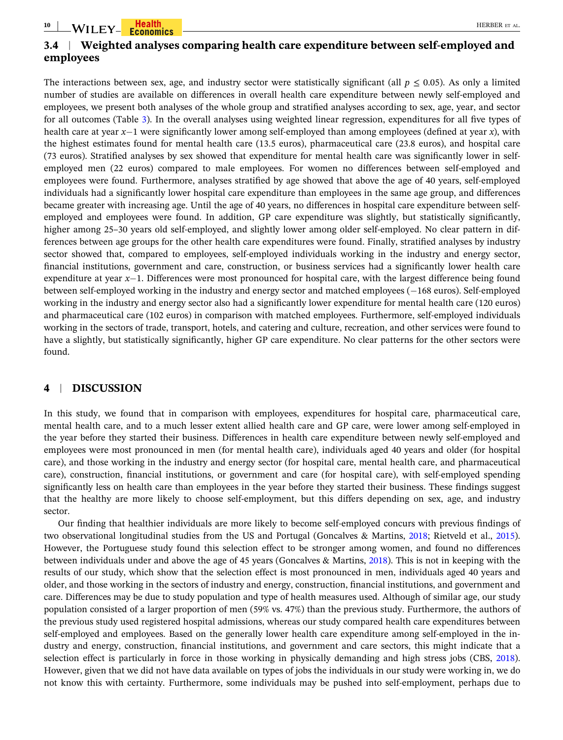# **3.4** <sup>|</sup> **Weighted analyses comparing health care expenditure between self‐employed and employees**

The interactions between sex, age, and industry sector were statistically significant (all  $p \le 0.05$ ). As only a limited number of studies are available on differences in overall health care expenditure between newly self-employed and employees, we present both analyses of the whole group and stratified analyses according to sex, age, year, and sector for all outcomes (Table [3](#page-8-0)). In the overall analyses using weighted linear regression, expenditures for all five types of health care at year  $x-1$  were significantly lower among self-employed than among employees (defined at year  $x$ ), with the highest estimates found for mental health care (13.5 euros), pharmaceutical care (23.8 euros), and hospital care (73 euros). Stratified analyses by sex showed that expenditure for mental health care was significantly lower in self‐ employed men (22 euros) compared to male employees. For women no differences between self-employed and employees were found. Furthermore, analyses stratified by age showed that above the age of 40 years, self-employed individuals had a significantly lower hospital care expenditure than employees in the same age group, and differences became greater with increasing age. Until the age of 40 years, no differences in hospital care expenditure between selfemployed and employees were found. In addition, GP care expenditure was slightly, but statistically significantly, higher among 25–30 years old self-employed, and slightly lower among older self-employed. No clear pattern in differences between age groups for the other health care expenditures were found. Finally, stratified analyses by industry sector showed that, compared to employees, self-employed individuals working in the industry and energy sector, financial institutions, government and care, construction, or business services had a significantly lower health care expenditure at year  $x-1$ . Differences were most pronounced for hospital care, with the largest difference being found between self-employed working in the industry and energy sector and matched employees ( $-168$  euros). Self-employed working in the industry and energy sector also had a significantly lower expenditure for mental health care (120 euros) and pharmaceutical care (102 euros) in comparison with matched employees. Furthermore, self-employed individuals working in the sectors of trade, transport, hotels, and catering and culture, recreation, and other services were found to have a slightly, but statistically significantly, higher GP care expenditure. No clear patterns for the other sectors were found.

# **4** <sup>|</sup> **DISCUSSION**

In this study, we found that in comparison with employees, expenditures for hospital care, pharmaceutical care, mental health care, and to a much lesser extent allied health care and GP care, were lower among self-employed in the year before they started their business. Differences in health care expenditure between newly self‐employed and employees were most pronounced in men (for mental health care), individuals aged 40 years and older (for hospital care), and those working in the industry and energy sector (for hospital care, mental health care, and pharmaceutical care), construction, financial institutions, or government and care (for hospital care), with self‐employed spending significantly less on health care than employees in the year before they started their business. These findings suggest that the healthy are more likely to choose self‐employment, but this differs depending on sex, age, and industry sector.

Our finding that healthier individuals are more likely to become self‐employed concurs with previous findings of two observational longitudinal studies from the US and Portugal (Goncalves & Martins, [2018](#page-11-0); Rietveld et al., [2015\)](#page-12-0). However, the Portuguese study found this selection effect to be stronger among women, and found no differences between individuals under and above the age of 45 years (Goncalves & Martins, [2018](#page-11-0)). This is not in keeping with the results of our study, which show that the selection effect is most pronounced in men, individuals aged 40 years and older, and those working in the sectors of industry and energy, construction, financial institutions, and government and care. Differences may be due to study population and type of health measures used. Although of similar age, our study population consisted of a larger proportion of men (59% vs. 47%) than the previous study. Furthermore, the authors of the previous study used registered hospital admissions, whereas our study compared health care expenditures between self-employed and employees. Based on the generally lower health care expenditure among self-employed in the industry and energy, construction, financial institutions, and government and care sectors, this might indicate that a selection effect is particularly in force in those working in physically demanding and high stress jobs (CBS, [2018\)](#page-11-0). However, given that we did not have data available on types of jobs the individuals in our study were working in, we do not know this with certainty. Furthermore, some individuals may be pushed into self‐employment, perhaps due to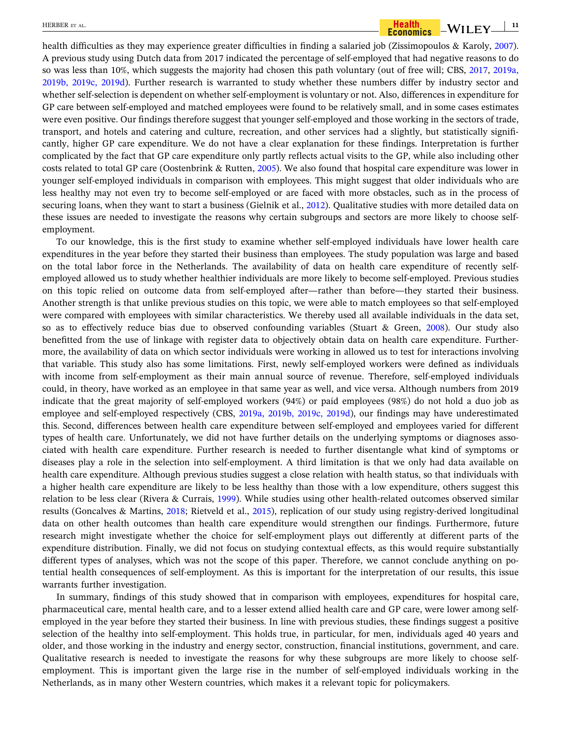#### - **11**-WILEY

Health

health difficulties as they may experience greater difficulties in finding a salaried job (Zissimopoulos & Karoly, [2007\)](#page-12-0). A previous study using Dutch data from 2017 indicated the percentage of self‐employed that had negative reasons to do so was less than 10%, which suggests the majority had chosen this path voluntary (out of free will; CBS, [2017](#page-11-0), [2019a,](#page-11-0) [2019b,](#page-11-0) 2019c, 2019d). Further research is warranted to study whether these numbers differ by industry sector and whether self-selection is dependent on whether self-employment is voluntary or not. Also, differences in expenditure for GP care between self-employed and matched employees were found to be relatively small, and in some cases estimates were even positive. Our findings therefore suggest that younger self-employed and those working in the sectors of trade, transport, and hotels and catering and culture, recreation, and other services had a slightly, but statistically significantly, higher GP care expenditure. We do not have a clear explanation for these findings. Interpretation is further complicated by the fact that GP care expenditure only partly reflects actual visits to the GP, while also including other costs related to total GP care (Oostenbrink & Rutten, [2005](#page-12-0)). We also found that hospital care expenditure was lower in younger self-employed individuals in comparison with employees. This might suggest that older individuals who are less healthy may not even try to become self-employed or are faced with more obstacles, such as in the process of securing loans, when they want to start a business (Gielnik et al., [2012\)](#page-11-0). Qualitative studies with more detailed data on these issues are needed to investigate the reasons why certain subgroups and sectors are more likely to choose selfemployment.

To our knowledge, this is the first study to examine whether self-employed individuals have lower health care expenditures in the year before they started their business than employees. The study population was large and based on the total labor force in the Netherlands. The availability of data on health care expenditure of recently self‐ employed allowed us to study whether healthier individuals are more likely to become self-employed. Previous studies on this topic relied on outcome data from self‐employed after—rather than before—they started their business. Another strength is that unlike previous studies on this topic, we were able to match employees so that self-employed were compared with employees with similar characteristics. We thereby used all available individuals in the data set, so as to effectively reduce bias due to observed confounding variables (Stuart & Green, [2008\)](#page-12-0). Our study also benefitted from the use of linkage with register data to objectively obtain data on health care expenditure. Furthermore, the availability of data on which sector individuals were working in allowed us to test for interactions involving that variable. This study also has some limitations. First, newly self‐employed workers were defined as individuals with income from self-employment as their main annual source of revenue. Therefore, self-employed individuals could, in theory, have worked as an employee in that same year as well, and vice versa. Although numbers from 2019 indicate that the great majority of self-employed workers (94%) or paid employees (98%) do not hold a duo job as employee and self-employed respectively (CBS, 2019a, [2019b,](#page-11-0) 2019c, 2019d), our findings may have underestimated this. Second, differences between health care expenditure between self‐employed and employees varied for different types of health care. Unfortunately, we did not have further details on the underlying symptoms or diagnoses associated with health care expenditure. Further research is needed to further disentangle what kind of symptoms or diseases play a role in the selection into self‐employment. A third limitation is that we only had data available on health care expenditure. Although previous studies suggest a close relation with health status, so that individuals with a higher health care expenditure are likely to be less healthy than those with a low expenditure, others suggest this relation to be less clear (Rivera & Currais, [1999\)](#page-12-0). While studies using other health‐related outcomes observed similar results (Goncalves & Martins, [2018;](#page-11-0) Rietveld et al., [2015\)](#page-12-0), replication of our study using registry‐derived longitudinal data on other health outcomes than health care expenditure would strengthen our findings. Furthermore, future research might investigate whether the choice for self-employment plays out differently at different parts of the expenditure distribution. Finally, we did not focus on studying contextual effects, as this would require substantially different types of analyses, which was not the scope of this paper. Therefore, we cannot conclude anything on potential health consequences of self‐employment. As this is important for the interpretation of our results, this issue warrants further investigation.

In summary, findings of this study showed that in comparison with employees, expenditures for hospital care, pharmaceutical care, mental health care, and to a lesser extend allied health care and GP care, were lower among self‐ employed in the year before they started their business. In line with previous studies, these findings suggest a positive selection of the healthy into self-employment. This holds true, in particular, for men, individuals aged 40 years and older, and those working in the industry and energy sector, construction, financial institutions, government, and care. Qualitative research is needed to investigate the reasons for why these subgroups are more likely to choose self‐ employment. This is important given the large rise in the number of self-employed individuals working in the Netherlands, as in many other Western countries, which makes it a relevant topic for policymakers.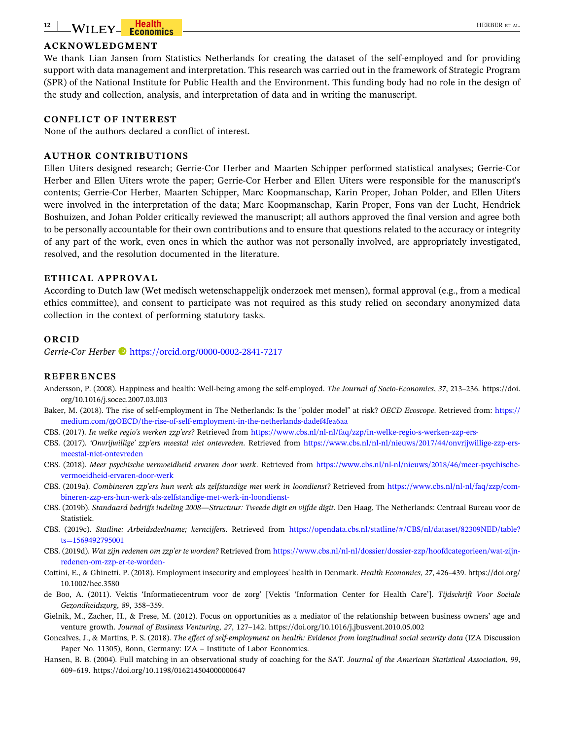#### <span id="page-11-0"></span>**12**  $\text{Healkh}$   $\text{Heaken}$   $\text{Heaken}$   $\text{Heaken}$   $\text{Heaken}$   $\text{Heaken}$   $\text{Heaken}$   $\text{Heaken}$   $\text{Heaken}$   $\text{Heaken}$   $\text{Heaken}$   $\text{Heaken}$   $\text{Heaken}$   $\text{Heaken}$   $\text{Heaken}$   $\text{Heaken}$   $\text{Heaken}$   $\text{Heaken}$   $\text{Heaken}$   $\text{Heaken}$   $\text{Heaken}$   $\text{Heaken$

#### **ACKNOWLEDGMENT**

We thank Lian Jansen from Statistics Netherlands for creating the dataset of the self-employed and for providing support with data management and interpretation. This research was carried out in the framework of Strategic Program (SPR) of the National Institute for Public Health and the Environment. This funding body had no role in the design of the study and collection, analysis, and interpretation of data and in writing the manuscript.

## **CONFLICT OF INTEREST**

None of the authors declared a conflict of interest.

#### **AUTHOR CONTRIBUTIONS**

Ellen Uiters designed research; Gerrie‐Cor Herber and Maarten Schipper performed statistical analyses; Gerrie‐Cor Herber and Ellen Uiters wrote the paper; Gerrie‐Cor Herber and Ellen Uiters were responsible for the manuscript's contents; Gerrie‐Cor Herber, Maarten Schipper, Marc Koopmanschap, Karin Proper, Johan Polder, and Ellen Uiters were involved in the interpretation of the data; Marc Koopmanschap, Karin Proper, Fons van der Lucht, Hendriek Boshuizen, and Johan Polder critically reviewed the manuscript; all authors approved the final version and agree both to be personally accountable for their own contributions and to ensure that questions related to the accuracy or integrity of any part of the work, even ones in which the author was not personally involved, are appropriately investigated, resolved, and the resolution documented in the literature.

#### **ETHICAL APPROVAL**

According to Dutch law (Wet medisch wetenschappelijk onderzoek met mensen), formal approval (e.g., from a medical ethics committee), and consent to participate was not required as this study relied on secondary anonymized data collection in the context of performing statutory tasks.

#### **ORCID**

*Gerrie-Cor Herber* **■** <https://orcid.org/0000-0002-2841-7217>

#### **REFERENCES**

- Andersson, P. (2008). Happiness and health: Well‐being among the self‐employed. *The Journal of Socio‐Economics*, *37*, 213–236. [https://doi.](https://doi.org/10.1016/j.socec.2007.03.003) [org/10.1016/j.socec.2007.03.003](https://doi.org/10.1016/j.socec.2007.03.003)
- Baker, M. (2018). The rise of self‐employment in The Netherlands: Is the "polder model" at risk? *OECD Ecoscope*. Retrieved from: [https://](https://medium.com/@OECD/the&tnqh_x2010;rise&tnqh_x2010;of&tnqh_x2010;self&tnqh_x2010;employment&tnqh_x2010;in&tnqh_x2010;the&tnqh_x2010;netherlands&tnqh_x2010;dadef4fea6aa) [medium.com/@OECD/the‐rise‐of‐self‐employment‐in‐the‐netherlands‐dadef4fea6aa](https://medium.com/@OECD/the&tnqh_x2010;rise&tnqh_x2010;of&tnqh_x2010;self&tnqh_x2010;employment&tnqh_x2010;in&tnqh_x2010;the&tnqh_x2010;netherlands&tnqh_x2010;dadef4fea6aa)
- CBS. (2017). *In welke regio's werken zzp'ers?* Retrieved from <https://www.cbs.nl/nl-nl/faq/zzp/in-welke-regio-s-werken-zzp-ers->
- CBS. (2017). *'Onvrijwillige' zzp'ers meestal niet ontevreden*. Retrieved from [https://www.cbs.nl/nl-nl/nieuws/2017/44/onvrijwillige-zzp-ers](https://www.cbs.nl/nl-nl/nieuws/2017/44/onvrijwillige-zzp-ers-meestal-niet-ontevreden)[meestal-niet-ontevreden](https://www.cbs.nl/nl-nl/nieuws/2017/44/onvrijwillige-zzp-ers-meestal-niet-ontevreden)
- CBS. (2018). *Meer psychische vermoeidheid ervaren door werk*. Retrieved from [https://www.cbs.nl/nl-nl/nieuws/2018/46/meer-psychische](https://www.cbs.nl/nl-nl/nieuws/2018/46/meer-psychische-vermoeidheid-ervaren-door-werk)[vermoeidheid-ervaren-door-werk](https://www.cbs.nl/nl-nl/nieuws/2018/46/meer-psychische-vermoeidheid-ervaren-door-werk)
- CBS. (2019a). *Combineren zzp'ers hun werk als zelfstandige met werk in loondienst?* Retrieved from [https://www.cbs.nl/nl-nl/faq/zzp/com](https://www.cbs.nl/nl-nl/faq/zzp/combineren-zzp-ers-hun-werk-als-zelfstandige-met-werk-in-loondienst-)[bineren-zzp-ers-hun-werk-als-zelfstandige-met-werk-in-loondienst-](https://www.cbs.nl/nl-nl/faq/zzp/combineren-zzp-ers-hun-werk-als-zelfstandige-met-werk-in-loondienst-)
- CBS. (2019b). *Standaard bedrijfs indeling 2008—Structuur: Tweede digit en vijfde digit*. Den Haag, The Netherlands: Centraal Bureau voor de Statistiek.
- CBS. (2019c). *Statline: Arbeidsdeelname; kerncijfers*. Retrieved from [https://opendata.cbs.nl/statline/#/CBS/nl/dataset/82309NED/table?](https://opendata.cbs.nl/statline/#/CBS/nl/dataset/82309NED/table?ts=1569492795001) ts=[1569492795001](https://opendata.cbs.nl/statline/#/CBS/nl/dataset/82309NED/table?ts=1569492795001)
- CBS. (2019d). *Wat zijn redenen om zzp'er te worden?* Retrieved from [https://www.cbs.nl/nl-nl/dossier/dossier-zzp/hoofdcategorieen/wat-zijn](https://www.cbs.nl/nl-nl/dossier/dossier-zzp/hoofdcategorieen/wat-zijn-redenen-om-zzp-er-te-worden-)[redenen-om-zzp-er-te-worden-](https://www.cbs.nl/nl-nl/dossier/dossier-zzp/hoofdcategorieen/wat-zijn-redenen-om-zzp-er-te-worden-)
- Cottini, E., & Ghinetti, P. (2018). Employment insecurity and employees' health in Denmark. *Health Economics*, *27*, 426–439. [https://doi.org/](https://doi.org/10.1002/hec.3580) [10.1002/hec.3580](https://doi.org/10.1002/hec.3580)
- de Boo, A. (2011). Vektis 'Informatiecentrum voor de zorg' [Vektis 'Information Center for Health Care']. *Tijdschrift Voor Sociale Gezondheidszorg*, *89*, 358–359.
- Gielnik, M., Zacher, H., & Frese, M. (2012). Focus on opportunities as a mediator of the relationship between business owners' age and venture growth. *Journal of Business Venturing*, *27*, 127–142. <https://doi.org/10.1016/j.jbusvent.2010.05.002>
- Goncalves, J., & Martins, P. S. (2018). The effect of self-employment on health: Evidence from longitudinal social security data (IZA Discussion Paper No. 11305), Bonn, Germany: IZA – Institute of Labor Economics.
- Hansen, B. B. (2004). Full matching in an observational study of coaching for the SAT. *Journal of the American Statistical Association*, *99*, 609–619. <https://doi.org/10.1198/016214504000000647>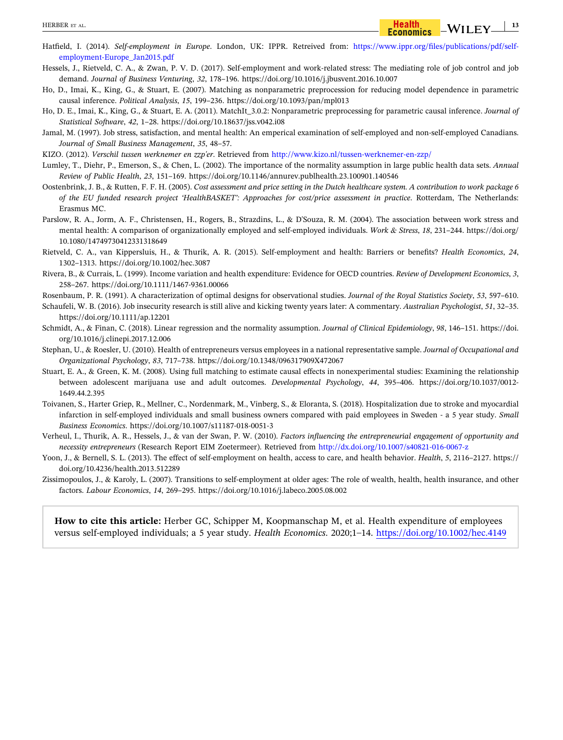- <span id="page-12-0"></span>Hatfield, I. (2014). *Self‐employment in Europe*. London, UK: IPPR. Retreived from: [https://www.ippr.org/files/publications/pdf/self‐](https://www.ippr.org/files/publications/pdf/self&tnqh_x2010;employment&tnqh_x2010;Europe_Jan2015.pdf) [employment‐Europe\\_Jan2015.pdf](https://www.ippr.org/files/publications/pdf/self&tnqh_x2010;employment&tnqh_x2010;Europe_Jan2015.pdf)
- Hessels, J., Rietveld, C. A., & Zwan, P. V. D. (2017). Self-employment and work-related stress: The mediating role of job control and job demand. *Journal of Business Venturing*, *32*, 178–196. <https://doi.org/10.1016/j.jbusvent.2016.10.007>
- Ho, D., Imai, K., King, G., & Stuart, E. (2007). Matching as nonparametric preprocession for reducing model dependence in parametric causal inference. *Political Analysis*, *15*, 199–236. <https://doi.org/10.1093/pan/mpl013>
- Ho, D. E., Imai, K., King, G., & Stuart, E. A. (2011). MatchIt\_3.0.2: Nonparametric preprocessing for parametric causal inference. *Journal of Statistical Software*, *42*, 1–28. <https://doi.org/10.18637/jss.v042.i08>
- Jamal, M. (1997). Job stress, satisfaction, and mental health: An emperical examination of self-employed and non-self-employed Canadians. *Journal of Small Business Management*, *35*, 48–57.
- KIZO. (2012). *Verschil tussen werknemer en zzp'er*. Retrieved from <http://www.kizo.nl/tussen-werknemer-en-zzp/>
- Lumley, T., Diehr, P., Emerson, S., & Chen, L. (2002). The importance of the normality assumption in large public health data sets. *Annual Review of Public Health*, *23*, 151–169. <https://doi.org/10.1146/annurev.publhealth.23.100901.140546>
- Oostenbrink, J. B., & Rutten, F. F. H. (2005). Cost assessment and price setting in the Dutch healthcare system. A contribution to work package 6 *of the EU funded research project 'HealthBASKET': Approaches for cost/price assessment in practice*. Rotterdam, The Netherlands: Erasmus MC.
- Parslow, R. A., Jorm, A. F., Christensen, H., Rogers, B., Strazdins, L., & D'Souza, R. M. (2004). The association between work stress and mental health: A comparison of organizationally employed and self‐employed individuals. *Work & Stress*, *18*, 231–244. [https://doi.org/](https://doi.org/10.1080/14749730412331318649) [10.1080/14749730412331318649](https://doi.org/10.1080/14749730412331318649)
- Rietveld, C. A., van Kippersluis, H., & Thurik, A. R. (2015). Self‐employment and health: Barriers or benefits? *Health Economics*, *24*, 1302–1313. <https://doi.org/10.1002/hec.3087>
- Rivera, B., & Currais, L. (1999). Income variation and health expenditure: Evidence for OECD countries. *Review of Development Economics*, *3*, 258–267. <https://doi.org/10.1111/1467-9361.00066>
- Rosenbaum, P. R. (1991). A characterization of optimal designs for observational studies. *Journal of the Royal Statistics Society*, *53*, 597–610.
- Schaufeli, W. B. (2016). Job insecurity research is still alive and kicking twenty years later: A commentary. *Australian Psychologist*, *51*, 32–35. <https://doi.org/10.1111/ap.12201>
- Schmidt, A., & Finan, C. (2018). Linear regression and the normality assumption. *Journal of Clinical Epidemiology*, *98*, 146–151. [https://doi.](https://doi.org/10.1016/j.clinepi.2017.12.006) [org/10.1016/j.clinepi.2017.12.006](https://doi.org/10.1016/j.clinepi.2017.12.006)
- Stephan, U., & Roesler, U. (2010). Health of entrepreneurs versus employees in a national representative sample. *Journal of Occupational and Organizational Psychology*, *83*, 717–738. <https://doi.org/10.1348/096317909X472067>
- Stuart, E. A., & Green, K. M. (2008). Using full matching to estimate causal effects in nonexperimental studies: Examining the relationship between adolescent marijuana use and adult outcomes. *Developmental Psychology*, *44*, 395–406. [https://doi.org/10.1037/0012-](https://doi.org/10.1037/0012-1649.44.2.395) [1649.44.2.395](https://doi.org/10.1037/0012-1649.44.2.395)
- Toivanen, S., Harter Griep, R., Mellner, C., Nordenmark, M., Vinberg, S., & Eloranta, S. (2018). Hospitalization due to stroke and myocardial infarction in self‐employed individuals and small business owners compared with paid employees in Sweden ‐ a 5 year study. *Small Business Economics*. <https://doi.org/10.1007/s11187-018-0051-3>
- Verheul, I., Thurik, A. R., Hessels, J., & van der Swan, P. W. (2010). *Factors influencing the entrepreneurial engagement of opportunity and necessity entrepreneurs* (Research Report EIM Zoetermeer). Retrieved from <http://dx.doi.org/10.1007/s40821-016-0067-z>
- Yoon, J., & Bernell, S. L. (2013). The effect of self‐employment on health, access to care, and health behavior. *Health*, *5*, 2116–2127. [https://](https://doi.org/10.4236/health.2013.512289) [doi.org/10.4236/health.2013.512289](https://doi.org/10.4236/health.2013.512289)
- Zissimopoulos, J., & Karoly, L. (2007). Transitions to self‐employment at older ages: The role of wealth, health, health insurance, and other factors. *Labour Economics*, *14*, 269–295. <https://doi.org/10.1016/j.labeco.2005.08.002>

**How to cite this article:** Herber GC, Schipper M, Koopmanschap M, et al. Health expenditure of employees versus self‐employed individuals; a 5 year study. *Health Economics*. 2020;1–14. <https://doi.org/10.1002/hec.4149>